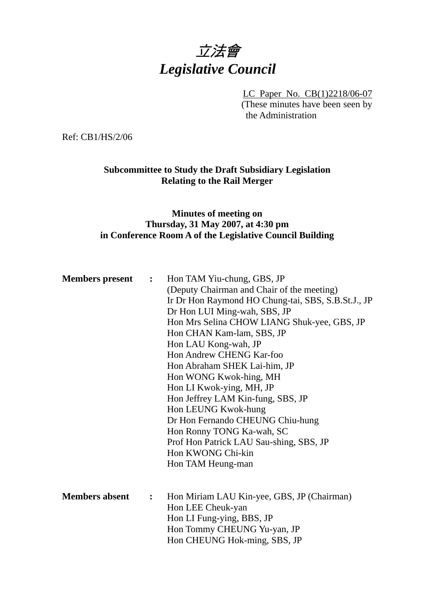# 立法會 *Legislative Council*

LC Paper No. CB(1)2218/06-07 (These minutes have been seen by the Administration

Ref: CB1/HS/2/06

# **Subcommittee to Study the Draft Subsidiary Legislation Relating to the Rail Merger**

## **Minutes of meeting on Thursday, 31 May 2007, at 4:30 pm in Conference Room A of the Legislative Council Building**

| <b>Members</b> present<br>$\ddot{\cdot}$ |   | Hon TAM Yiu-chung, GBS, JP<br>(Deputy Chairman and Chair of the meeting)<br>Ir Dr Hon Raymond HO Chung-tai, SBS, S.B.St.J., JP<br>Dr Hon LUI Ming-wah, SBS, JP<br>Hon Mrs Selina CHOW LIANG Shuk-yee, GBS, JP<br>Hon CHAN Kam-lam, SBS, JP<br>Hon LAU Kong-wah, JP<br>Hon Andrew CHENG Kar-foo<br>Hon Abraham SHEK Lai-him, JP<br>Hon WONG Kwok-hing, MH<br>Hon LI Kwok-ying, MH, JP<br>Hon Jeffrey LAM Kin-fung, SBS, JP<br>Hon LEUNG Kwok-hung<br>Dr Hon Fernando CHEUNG Chiu-hung<br>Hon Ronny TONG Ka-wah, SC<br>Prof Hon Patrick LAU Sau-shing, SBS, JP<br>Hon KWONG Chi-kin |
|------------------------------------------|---|-----------------------------------------------------------------------------------------------------------------------------------------------------------------------------------------------------------------------------------------------------------------------------------------------------------------------------------------------------------------------------------------------------------------------------------------------------------------------------------------------------------------------------------------------------------------------------------|
|                                          |   | Hon TAM Heung-man                                                                                                                                                                                                                                                                                                                                                                                                                                                                                                                                                                 |
| <b>Members absent</b>                    | : | Hon Miriam LAU Kin-yee, GBS, JP (Chairman)<br>Hon LEE Cheuk-yan<br>Hon LI Fung-ying, BBS, JP<br>Hon Tommy CHEUNG Yu-yan, JP<br>Hon CHEUNG Hok-ming, SBS, JP                                                                                                                                                                                                                                                                                                                                                                                                                       |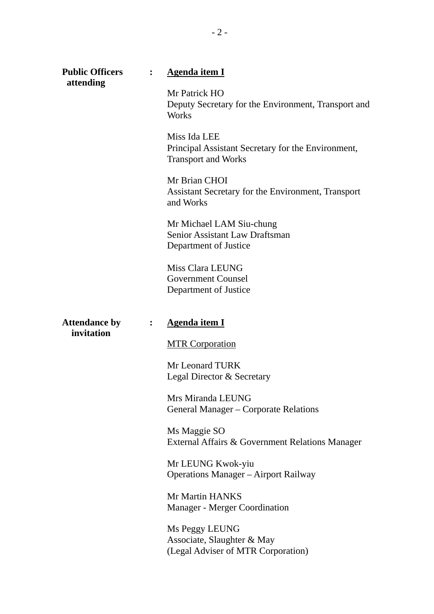| <b>Public Officers</b> | $\ddot{\cdot}$ | <b>Agenda item I</b>                                                                             |
|------------------------|----------------|--------------------------------------------------------------------------------------------------|
| attending              |                | Mr Patrick HO<br>Deputy Secretary for the Environment, Transport and<br><b>Works</b>             |
|                        |                | Miss Ida LEE<br>Principal Assistant Secretary for the Environment,<br><b>Transport and Works</b> |
|                        |                | Mr Brian CHOI<br>Assistant Secretary for the Environment, Transport<br>and Works                 |
|                        |                | Mr Michael LAM Siu-chung<br><b>Senior Assistant Law Draftsman</b><br>Department of Justice       |
|                        |                | Miss Clara LEUNG<br><b>Government Counsel</b><br>Department of Justice                           |
|                        |                |                                                                                                  |
| <b>Attendance by</b>   | $\ddot{\cdot}$ | <b>Agenda item I</b>                                                                             |
| invitation             |                | <b>MTR Corporation</b>                                                                           |
|                        |                | Mr Leonard TURK<br>Legal Director & Secretary                                                    |
|                        |                | Mrs Miranda LEUNG<br>General Manager – Corporate Relations                                       |
|                        |                | Ms Maggie SO<br>External Affairs & Government Relations Manager                                  |
|                        |                | Mr LEUNG Kwok-yiu<br><b>Operations Manager</b> – Airport Railway                                 |
|                        |                | Mr Martin HANKS<br><b>Manager - Merger Coordination</b>                                          |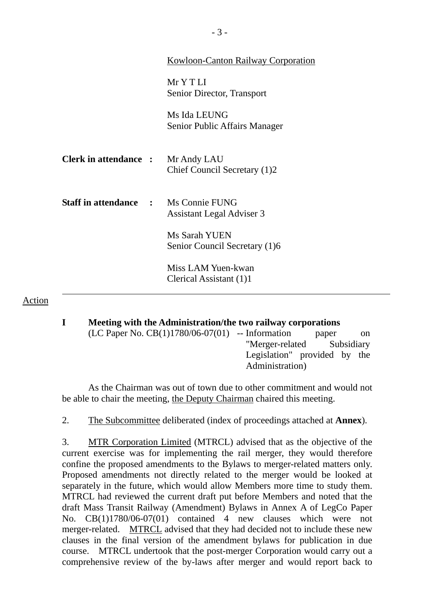|                                             | Kowloon-Canton Railway Corporation             |
|---------------------------------------------|------------------------------------------------|
|                                             | MrYTLI<br>Senior Director, Transport           |
|                                             | Ms Ida LEUNG<br>Senior Public Affairs Manager  |
| <b>Clerk in attendance :</b>                | Mr Andy LAU<br>Chief Council Secretary (1)2    |
| <b>Staff in attendance : Ms Connie FUNG</b> | Assistant Legal Adviser 3                      |
|                                             | Ms Sarah YUEN<br>Senior Council Secretary (1)6 |
|                                             | Miss LAM Yuen-kwan<br>Clerical Assistant (1)1  |
|                                             |                                                |

#### Action

**I Meeting with the Administration/the two railway corporations**   $(LC$  Paper No.  $CB(1)1780/06-07(01)$  -- Information paper on "Merger-related Subsidiary Legislation" provided by the Administration)

 As the Chairman was out of town due to other commitment and would not be able to chair the meeting, the Deputy Chairman chaired this meeting.

2. The Subcommittee deliberated (index of proceedings attached at **Annex**).

3. MTR Corporation Limited (MTRCL) advised that as the objective of the current exercise was for implementing the rail merger, they would therefore confine the proposed amendments to the Bylaws to merger-related matters only. Proposed amendments not directly related to the merger would be looked at separately in the future, which would allow Members more time to study them. MTRCL had reviewed the current draft put before Members and noted that the draft Mass Transit Railway (Amendment) Bylaws in Annex A of LegCo Paper No. CB(1)1780/06-07(01) contained 4 new clauses which were not merger-related. MTRCL advised that they had decided not to include these new clauses in the final version of the amendment bylaws for publication in due course. MTRCL undertook that the post-merger Corporation would carry out a comprehensive review of the by-laws after merger and would report back to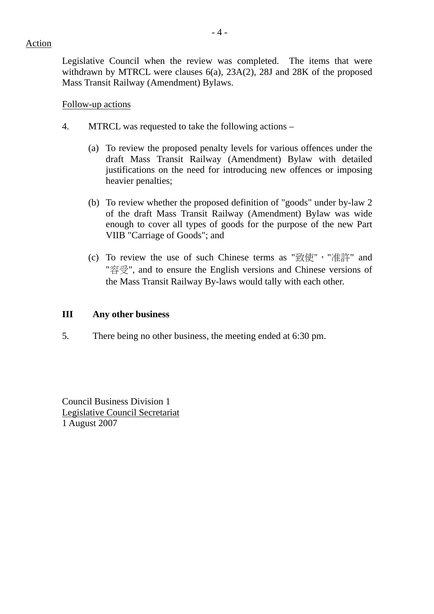Legislative Council when the review was completed. The items that were withdrawn by MTRCL were clauses 6(a), 23A(2), 28J and 28K of the proposed Mass Transit Railway (Amendment) Bylaws.

## Follow-up actions

- 4. MTRCL was requested to take the following actions
	- (a) To review the proposed penalty levels for various offences under the draft Mass Transit Railway (Amendment) Bylaw with detailed justifications on the need for introducing new offences or imposing heavier penalties;
	- (b) To review whether the proposed definition of "goods" under by-law 2 of the draft Mass Transit Railway (Amendment) Bylaw was wide enough to cover all types of goods for the purpose of the new Part VIIB "Carriage of Goods"; and
	- (c) To review the use of such Chinese terms as "致使","准許" and "容受", and to ensure the English versions and Chinese versions of the Mass Transit Railway By-laws would tally with each other.

## **III Any other business**

5. There being no other business, the meeting ended at 6:30 pm.

Council Business Division 1 Legislative Council Secretariat 1 August 2007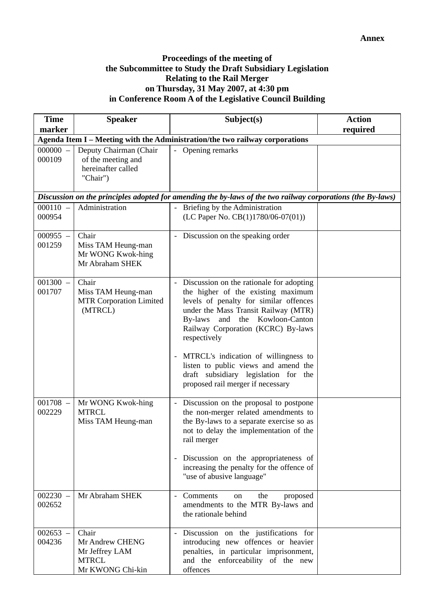## **Proceedings of the meeting of the Subcommittee to Study the Draft Subsidiary Legislation Relating to the Rail Merger on Thursday, 31 May 2007, at 4:30 pm in Conference Room A of the Legislative Council Building**

| <b>Time</b>          | <b>Speaker</b>                                                                 | Subject(s)                                                                                                                                                                                                                                                                                                                                                                                                                 | <b>Action</b> |
|----------------------|--------------------------------------------------------------------------------|----------------------------------------------------------------------------------------------------------------------------------------------------------------------------------------------------------------------------------------------------------------------------------------------------------------------------------------------------------------------------------------------------------------------------|---------------|
| marker               |                                                                                |                                                                                                                                                                                                                                                                                                                                                                                                                            | required      |
|                      |                                                                                | Agenda Item I - Meeting with the Administration/the two railway corporations                                                                                                                                                                                                                                                                                                                                               |               |
| $000000 -$<br>000109 | Deputy Chairman (Chair<br>of the meeting and<br>hereinafter called<br>"Chair") | Opening remarks                                                                                                                                                                                                                                                                                                                                                                                                            |               |
|                      |                                                                                | Discussion on the principles adopted for amending the by-laws of the two railway corporations (the By-laws)                                                                                                                                                                                                                                                                                                                |               |
| $000110 -$<br>000954 | Administration                                                                 | Briefing by the Administration<br>(LC Paper No. CB(1)1780/06-07(01))                                                                                                                                                                                                                                                                                                                                                       |               |
| $000955 -$<br>001259 | Chair<br>Miss TAM Heung-man<br>Mr WONG Kwok-hing<br>Mr Abraham SHEK            | Discussion on the speaking order                                                                                                                                                                                                                                                                                                                                                                                           |               |
| $001300 -$<br>001707 | Chair<br>Miss TAM Heung-man<br><b>MTR Corporation Limited</b><br>(MTRCL)       | - Discussion on the rationale for adopting<br>the higher of the existing maximum<br>levels of penalty for similar offences<br>under the Mass Transit Railway (MTR)<br>and the Kowloon-Canton<br>By-laws<br>Railway Corporation (KCRC) By-laws<br>respectively<br>MTRCL's indication of willingness to<br>listen to public views and amend the<br>draft subsidiary legislation for the<br>proposed rail merger if necessary |               |
| $001708 -$<br>002229 | Mr WONG Kwok-hing<br><b>MTRCL</b><br>Miss TAM Heung-man                        | - Discussion on the proposal to postpone<br>the non-merger related amendments to<br>the By-laws to a separate exercise so as<br>not to delay the implementation of the<br>rail merger<br>Discussion on the appropriateness of<br>increasing the penalty for the offence of<br>"use of abusive language"                                                                                                                    |               |
| $002230 -$<br>002652 | Mr Abraham SHEK                                                                | Comments<br>the<br>proposed<br>on<br>amendments to the MTR By-laws and<br>the rationale behind                                                                                                                                                                                                                                                                                                                             |               |
| $002653 -$<br>004236 | Chair<br>Mr Andrew CHENG<br>Mr Jeffrey LAM<br><b>MTRCL</b><br>Mr KWONG Chi-kin | Discussion on the justifications for<br>introducing new offences or heavier<br>penalties, in particular imprisonment,<br>and the enforceability of the new<br>offences                                                                                                                                                                                                                                                     |               |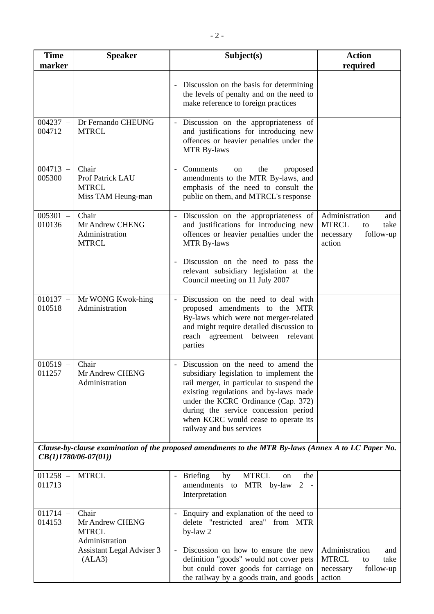| <b>Time</b><br>marker                                                                                                         | <b>Speaker</b>                                                  | Subject(s)                                                                                                                                                                                                                                                                                                              | <b>Action</b><br>required                                                               |
|-------------------------------------------------------------------------------------------------------------------------------|-----------------------------------------------------------------|-------------------------------------------------------------------------------------------------------------------------------------------------------------------------------------------------------------------------------------------------------------------------------------------------------------------------|-----------------------------------------------------------------------------------------|
|                                                                                                                               |                                                                 | Discussion on the basis for determining<br>the levels of penalty and on the need to<br>make reference to foreign practices                                                                                                                                                                                              |                                                                                         |
| $004237 -$<br>004712                                                                                                          | Dr Fernando CHEUNG<br><b>MTRCL</b>                              | Discussion on the appropriateness of<br>and justifications for introducing new<br>offences or heavier penalties under the<br><b>MTR By-laws</b>                                                                                                                                                                         |                                                                                         |
| $004713 -$<br>005300                                                                                                          | Chair<br>Prof Patrick LAU<br><b>MTRCL</b><br>Miss TAM Heung-man | Comments<br>the<br>proposed<br>on<br>amendments to the MTR By-laws, and<br>emphasis of the need to consult the<br>public on them, and MTRCL's response                                                                                                                                                                  |                                                                                         |
| 005301<br>$\equiv$<br>010136                                                                                                  | Chair<br>Mr Andrew CHENG<br>Administration<br><b>MTRCL</b>      | Discussion on the appropriateness of<br>$\overline{\phantom{a}}$<br>and justifications for introducing new<br>offences or heavier penalties under the<br><b>MTR By-laws</b>                                                                                                                                             | Administration<br>and<br><b>MTRCL</b><br>take<br>to<br>follow-up<br>necessary<br>action |
|                                                                                                                               |                                                                 | Discussion on the need to pass the<br>relevant subsidiary legislation at the<br>Council meeting on 11 July 2007                                                                                                                                                                                                         |                                                                                         |
| $010137 -$<br>010518                                                                                                          | Mr WONG Kwok-hing<br>Administration                             | Discussion on the need to deal with<br>proposed amendments to the MTR<br>By-laws which were not merger-related<br>and might require detailed discussion to<br>reach agreement between<br>relevant<br>parties                                                                                                            |                                                                                         |
| $010519 -$<br>011257                                                                                                          | Chair<br>Mr Andrew CHENG<br>Administration                      | Discussion on the need to amend the<br>subsidiary legislation to implement the<br>rail merger, in particular to suspend the<br>existing regulations and by-laws made<br>under the KCRC Ordinance (Cap. 372)<br>during the service concession period<br>when KCRC would cease to operate its<br>railway and bus services |                                                                                         |
| Clause-by-clause examination of the proposed amendments to the MTR By-laws (Annex A to LC Paper No.<br>$CB(1)1780/06-07(01))$ |                                                                 |                                                                                                                                                                                                                                                                                                                         |                                                                                         |
| $011258 -$<br>011713                                                                                                          | <b>MTRCL</b>                                                    | <b>MTRCL</b><br><b>Briefing</b><br>by<br>the<br>on<br>amendments to MTR by-law<br>$2 -$<br>Interpretation                                                                                                                                                                                                               |                                                                                         |
| $011714 -$<br>014153                                                                                                          | Chair<br>Mr Andrew CHENG<br><b>MTRCL</b><br>Administration      | Enquiry and explanation of the need to<br>delete "restricted area" from MTR<br>by-law 2                                                                                                                                                                                                                                 |                                                                                         |
|                                                                                                                               | Assistant Legal Adviser 3<br>(ALA3)                             | Discussion on how to ensure the new<br>definition "goods" would not cover pets<br>but could cover goods for carriage on<br>the railway by a goods train, and goods                                                                                                                                                      | Administration<br>and<br><b>MTRCL</b><br>take<br>to<br>follow-up<br>necessary<br>action |